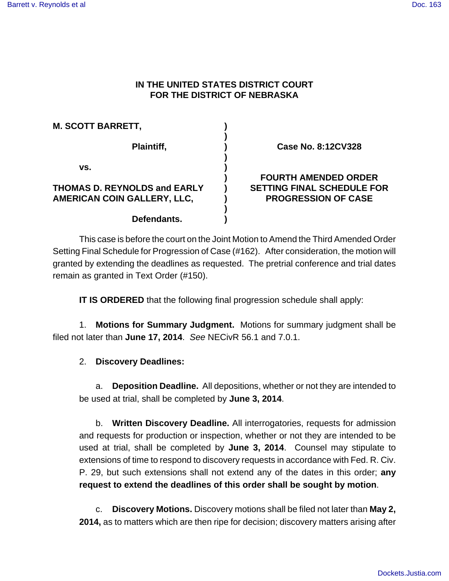# **IN THE UNITED STATES DISTRICT COURT FOR THE DISTRICT OF NEBRASKA**

| <b>M. SCOTT BARRETT,</b>            |  |
|-------------------------------------|--|
| Plaintiff,                          |  |
| VS.                                 |  |
| <b>THOMAS D. REYNOLDS and EARLY</b> |  |
| AMERICAN COIN GALLERY, LLC,         |  |
|                                     |  |
| Defendants.                         |  |

**Case No. 8:12CV328**

# **FOURTH AMENDED ORDER SETTING FINAL SCHEDULE FOR PROGRESSION OF CASE**

This case is before the court on the Joint Motion to Amend the Third Amended Order Setting Final Schedule for Progression of Case (#162). After consideration, the motion will granted by extending the deadlines as requested. The pretrial conference and trial dates remain as granted in Text Order (#150).

**IT IS ORDERED** that the following final progression schedule shall apply:

1. **Motions for Summary Judgment.** Motions for summary judgment shall be filed not later than **June 17, 2014**. See NECivR 56.1 and 7.0.1.

# 2. **Discovery Deadlines:**

a. **Deposition Deadline.** All depositions, whether or not they are intended to be used at trial, shall be completed by **June 3, 2014**.

b. **Written Discovery Deadline.** All interrogatories, requests for admission and requests for production or inspection, whether or not they are intended to be used at trial, shall be completed by **June 3, 2014**. Counsel may stipulate to extensions of time to respond to discovery requests in accordance with Fed. R. Civ. P. 29, but such extensions shall not extend any of the dates in this order; **any request to extend the deadlines of this order shall be sought by motion**.

c. **Discovery Motions.** Discovery motions shall be filed not later than **May 2, 2014,** as to matters which are then ripe for decision; discovery matters arising after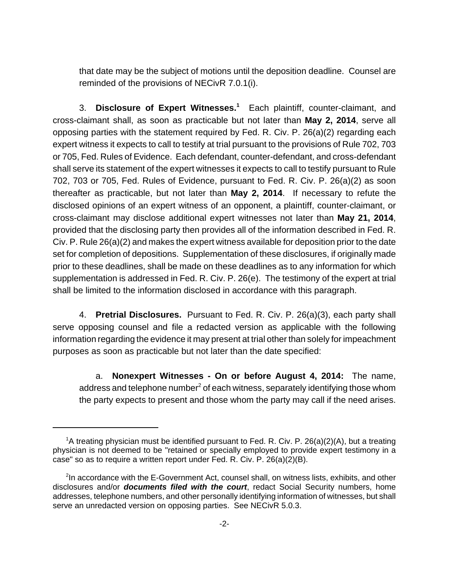that date may be the subject of motions until the deposition deadline. Counsel are reminded of the provisions of NECivR 7.0.1(i).

3. **Disclosure of Expert Witnesses.<sup>1</sup>** Each plaintiff, counter-claimant, and cross-claimant shall, as soon as practicable but not later than **May 2, 2014**, serve all opposing parties with the statement required by Fed. R. Civ. P. 26(a)(2) regarding each expert witness it expects to call to testify at trial pursuant to the provisions of Rule 702, 703 or 705, Fed. Rules of Evidence. Each defendant, counter-defendant, and cross-defendant shall serve its statement of the expert witnesses it expects to call to testify pursuant to Rule 702, 703 or 705, Fed. Rules of Evidence, pursuant to Fed. R. Civ. P. 26(a)(2) as soon thereafter as practicable, but not later than **May 2, 2014**. If necessary to refute the disclosed opinions of an expert witness of an opponent, a plaintiff, counter-claimant, or cross-claimant may disclose additional expert witnesses not later than **May 21, 2014**, provided that the disclosing party then provides all of the information described in Fed. R. Civ. P. Rule 26(a)(2) and makes the expert witness available for deposition prior to the date set for completion of depositions. Supplementation of these disclosures, if originally made prior to these deadlines, shall be made on these deadlines as to any information for which supplementation is addressed in Fed. R. Civ. P. 26(e). The testimony of the expert at trial shall be limited to the information disclosed in accordance with this paragraph.

4. **Pretrial Disclosures.** Pursuant to Fed. R. Civ. P. 26(a)(3), each party shall serve opposing counsel and file a redacted version as applicable with the following information regarding the evidence it may present at trial other than solely for impeachment purposes as soon as practicable but not later than the date specified:

a. **Nonexpert Witnesses - On or before August 4, 2014:** The name, address and telephone number $^2$  of each witness, separately identifying those whom the party expects to present and those whom the party may call if the need arises.

<sup>&</sup>lt;sup>1</sup>A treating physician must be identified pursuant to Fed. R. Civ. P. 26(a)(2)(A), but a treating physician is not deemed to be "retained or specially employed to provide expert testimony in a case" so as to require a written report under Fed. R. Civ. P. 26(a)(2)(B).

<sup>&</sup>lt;sup>2</sup>In accordance with the E-Government Act, counsel shall, on witness lists, exhibits, and other disclosures and/or **documents filed with the court**, redact Social Security numbers, home addresses, telephone numbers, and other personally identifying information of witnesses, but shall serve an unredacted version on opposing parties. See NECivR 5.0.3.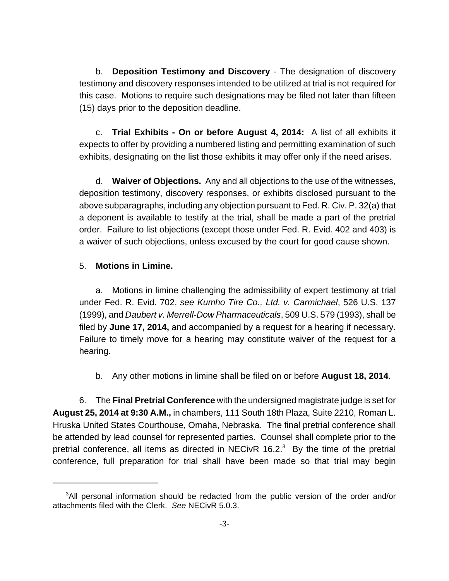b. **Deposition Testimony and Discovery** - The designation of discovery testimony and discovery responses intended to be utilized at trial is not required for this case. Motions to require such designations may be filed not later than fifteen (15) days prior to the deposition deadline.

c. **Trial Exhibits - On or before August 4, 2014:** A list of all exhibits it expects to offer by providing a numbered listing and permitting examination of such exhibits, designating on the list those exhibits it may offer only if the need arises.

d. **Waiver of Objections.** Any and all objections to the use of the witnesses, deposition testimony, discovery responses, or exhibits disclosed pursuant to the above subparagraphs, including any objection pursuant to Fed. R. Civ. P. 32(a) that a deponent is available to testify at the trial, shall be made a part of the pretrial order. Failure to list objections (except those under Fed. R. Evid. 402 and 403) is a waiver of such objections, unless excused by the court for good cause shown.

#### 5. **Motions in Limine.**

a. Motions in limine challenging the admissibility of expert testimony at trial under Fed. R. Evid. 702, see Kumho Tire Co., Ltd. v. Carmichael, 526 U.S. 137 (1999), and Daubert v. Merrell-Dow Pharmaceuticals, 509 U.S. 579 (1993), shall be filed by **June 17, 2014,** and accompanied by a request for a hearing if necessary. Failure to timely move for a hearing may constitute waiver of the request for a hearing.

b. Any other motions in limine shall be filed on or before **August 18, 2014**.

6. The **Final Pretrial Conference** with the undersigned magistrate judge is set for **August 25, 2014 at 9:30 A.M.,** in chambers, 111 South 18th Plaza, Suite 2210, Roman L. Hruska United States Courthouse, Omaha, Nebraska. The final pretrial conference shall be attended by lead counsel for represented parties. Counsel shall complete prior to the pretrial conference, all items as directed in NECivR 16.2. $3$  By the time of the pretrial conference, full preparation for trial shall have been made so that trial may begin

<sup>&</sup>lt;sup>3</sup>All personal information should be redacted from the public version of the order and/or attachments filed with the Clerk. See NECivR 5.0.3.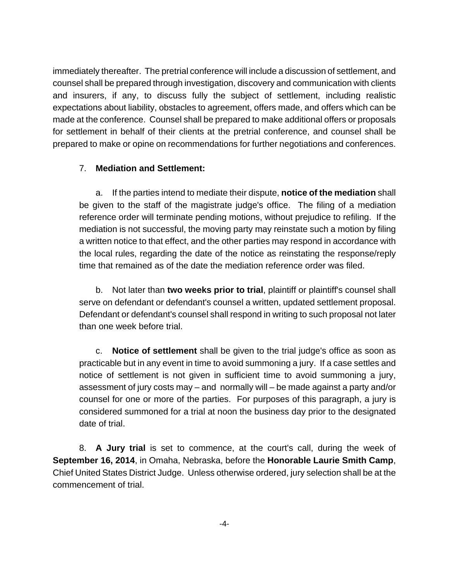immediately thereafter. The pretrial conference will include a discussion of settlement, and counsel shall be prepared through investigation, discovery and communication with clients and insurers, if any, to discuss fully the subject of settlement, including realistic expectations about liability, obstacles to agreement, offers made, and offers which can be made at the conference. Counsel shall be prepared to make additional offers or proposals for settlement in behalf of their clients at the pretrial conference, and counsel shall be prepared to make or opine on recommendations for further negotiations and conferences.

# 7. **Mediation and Settlement:**

a. If the parties intend to mediate their dispute, **notice of the mediation** shall be given to the staff of the magistrate judge's office. The filing of a mediation reference order will terminate pending motions, without prejudice to refiling. If the mediation is not successful, the moving party may reinstate such a motion by filing a written notice to that effect, and the other parties may respond in accordance with the local rules, regarding the date of the notice as reinstating the response/reply time that remained as of the date the mediation reference order was filed.

b. Not later than **two weeks prior to trial**, plaintiff or plaintiff's counsel shall serve on defendant or defendant's counsel a written, updated settlement proposal. Defendant or defendant's counsel shall respond in writing to such proposal not later than one week before trial.

c. **Notice of settlement** shall be given to the trial judge's office as soon as practicable but in any event in time to avoid summoning a jury. If a case settles and notice of settlement is not given in sufficient time to avoid summoning a jury, assessment of jury costs may – and normally will – be made against a party and/or counsel for one or more of the parties. For purposes of this paragraph, a jury is considered summoned for a trial at noon the business day prior to the designated date of trial.

8. **A Jury trial** is set to commence, at the court's call, during the week of **September 16, 2014**, in Omaha, Nebraska, before the **Honorable Laurie Smith Camp**, Chief United States District Judge. Unless otherwise ordered, jury selection shall be at the commencement of trial.